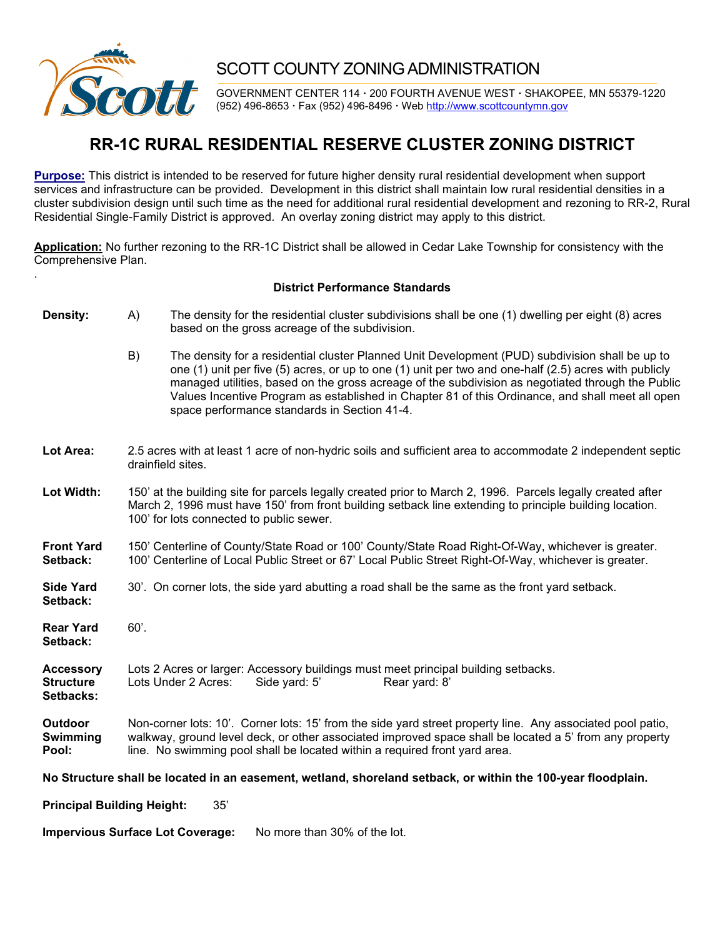

.

## SCOTT COUNTY ZONING ADMINISTRATION

GOVERNMENT CENTER 114 **·** 200 FOURTH AVENUE WEST **·** SHAKOPEE, MN 55379-1220 (952) 496-8653 **·** Fax (952) 496-8496 **·** Web http://www.scottcountymn.gov

## **RR-1C RURAL RESIDENTIAL RESERVE CLUSTER ZONING DISTRICT**

**Purpose:** This district is intended to be reserved for future higher density rural residential development when support services and infrastructure can be provided. Development in this district shall maintain low rural residential densities in a cluster subdivision design until such time as the need for additional rural residential development and rezoning to RR-2, Rural Residential Single-Family District is approved. An overlay zoning district may apply to this district.

**Application:** No further rezoning to the RR-1C District shall be allowed in Cedar Lake Township for consistency with the Comprehensive Plan.

## **District Performance Standards**

**Density:** A) The density for the residential cluster subdivisions shall be one (1) dwelling per eight (8) acres based on the gross acreage of the subdivision. B) The density for a residential cluster Planned Unit Development (PUD) subdivision shall be up to one (1) unit per five (5) acres, or up to one (1) unit per two and one-half (2.5) acres with publicly managed utilities, based on the gross acreage of the subdivision as negotiated through the Public Values Incentive Program as established in Chapter 81 of this Ordinance, and shall meet all open space performance standards in Section 41-4. **Lot Area:** 2.5 acres with at least 1 acre of non-hydric soils and sufficient area to accommodate 2 independent septic drainfield sites. **Lot Width:** 150' at the building site for parcels legally created prior to March 2, 1996. Parcels legally created after March 2, 1996 must have 150' from front building setback line extending to principle building location. 100' for lots connected to public sewer. **Front Yard** 150' Centerline of County/State Road or 100' County/State Road Right-Of-Way, whichever is greater.<br>**Setback:** 100' Centerline of Local Public Street or 67' Local Public Street Right-Of-Way, whichever is greate **Setback:** 100' Centerline of Local Public Street or 67' Local Public Street Right-Of-Way, whichever is greater. **Side Yard** 30'. On corner lots, the side yard abutting a road shall be the same as the front yard setback. **Setback: Rear Yard** 60'. **Setback: Accessory** Lots 2 Acres or larger: Accessory buildings must meet principal building setbacks. **Structure** Lots Under 2 Acres: Side yard: 5' Rear yard: 8' **Setbacks: Outdoor** Non-corner lots: 10'. Corner lots: 15' from the side yard street property line. Any associated pool patio,<br>**Swimming** walkway, ground level deck, or other associated improved space shall be located a 5' from any walkway, ground level deck, or other associated improved space shall be located a 5' from any property **Pool:** line. No swimming pool shall be located within a required front yard area. **No Structure shall be located in an easement, wetland, shoreland setback, or within the 100-year floodplain.** 

**Principal Building Height:** 35'

**Impervious Surface Lot Coverage:** No more than 30% of the lot.